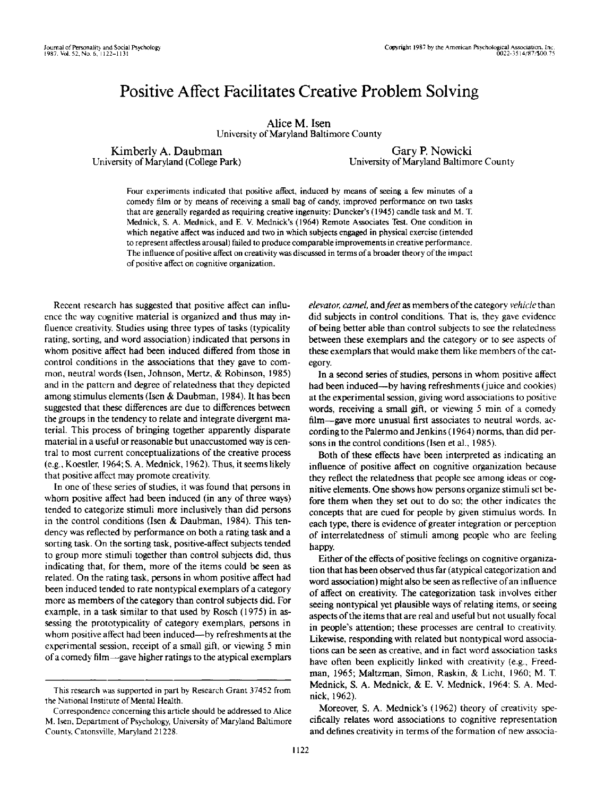# Positive Affect Facilitates Creative Problem Solving

Alice M. Isen University of Maryland Baltimore County

Kimberly A. Daubman University of Maryland (College Park)

Gary P. Nowicki University of Maryland Baltimore County

Four experiments indicated that positive affect, induced by means of seeing a few minutes of a comedy film or by means of receiving a small bag of candy, improved performance on two tasks that are generally regarded as requiring creative ingenuity: Duncker's (1945) candle task and M. T. Mednick, S. A. Mednick, and E. V. Mednick's (1964) Remote Associates Test. One condition in which negative affect was induced and two in which subjects engaged in physical exercise (intended to represent atfectless arousal) failed to produce comparable improvements in creative performance. The influence of positive affect on creativity was discussed in terms of a broader theory of the impact of positive affect on cognitive organization.

Recent research has suggested that positive affect can influence the way cognitive material is organized and thus may influence creativity. Studies using three types of tasks (typicality rating, sorting, and word association) indicated that persons in whom positive affect had been induced differed from those in control conditions in the associations that they gave to common, neutral words (Isen, Johnson, Mertz, & Robinson, 1985) and in the pattern and degree of relatedness that they depicted among stimulus elements (Isen *&* Daubman, 1984). It has been suggested that these differences are due to differences between the groups in the tendency to relate and integrate divergent material. This process of bringing together apparently disparate material in a useful or reasonable but unaccustomed way is central to most current conceptualizations of the creative process (e.g., Koestler, 1964; S. A. Mednick, 1962). Thus, it seems likely that positive affect may promote creativity.

In one of these series of studies, it was found that persons in whom positive affect had been induced (in any of three ways) tended to categorize stimuli more inclusively than did persons in the control conditions (Isen & Daubman, 1984). This tendency was reflected by performance on both a rating task and a sorting task. On the sorting task, positive-affect subjects tended to group more stimuli together than control subjects did, thus indicating that, for them, more of the items could be seen as related. On the rating task, persons in whom positive affect had been induced tended to rate nontypical exemplars of a category more as members of the category than control subjects did. For example, in a task similar to that used by Rosch (1975) in assessing the prototypicality of category exemplars, persons in whom positive affect had been induced—by refreshments at the experimental session, receipt of a small gift, or viewing 5 min of a comedy film—gave higher ratings to the atypical exemplars *elevator, camel, and feet* as members of the category *vehicle* than did subjects in control conditions. That is, they gave evidence of being better able than control subjects to see the relatedness between these exemplars and the category or to see aspects of these exemplars that would make them like members of the category.

In a second series of studies, persons in whom positive affect had been induced—by having refreshments (juice and cookies) at the experimental session, giving word associations to positive words, receiving a small gift, or viewing 5 min of a comedy film—gave more unusual first associates to neutral words, according to the Palermo and Jenkins (1964) norms, than did persons in the control conditions (Isen et al., 1985).

Both of these effects have been interpreted as indicating an influence of positive affect on cognitive organization because they reflect the relatedness that people see among ideas or cognitive elements. One shows how persons organize stimuli set before them when they set out to do so; the other indicates the concepts that are cued for people by given stimulus words. In each type, there is evidence of greater integration or perception of interrelatedness of stimuli among people who are feeling happy.

Either of the effects of positive feelings on cognitive organization that has been observed thus far (atypical categorization and word association) might also be seen as reflective of an influence of affect on creativity. The categorization task involves either seeing nontypical yet plausible ways of relating items, or seeing aspects of the items that are real and useful but not usually focal in people's attention; these processes are central to creativity. Likewise, responding with related but nontypical word associations can be seen as creative, and in fact word association tasks have often been explicitly linked with creativity (e.g., Freedman, 1965; Maltzman, Simon, Raskin, & Licht, 1960; M. T. Mednick, S. A. Mednick, & E. V. Mednick, 1964; S. A. Mednick, 1962).

Moreover, S. A. Mednick's (1962) theory of creativity specifically relates word associations to cognitive representation and defines creativity in terms of the formation of new associa-

This research was supported in part by Research Grant 37452 from the National Institute of Mental Health.

Correspondence concerning this article should be addressed to Alice M. Isen, Department of Psychology, University of Maryland Baltimore County, Catonsville, Maryland 21228.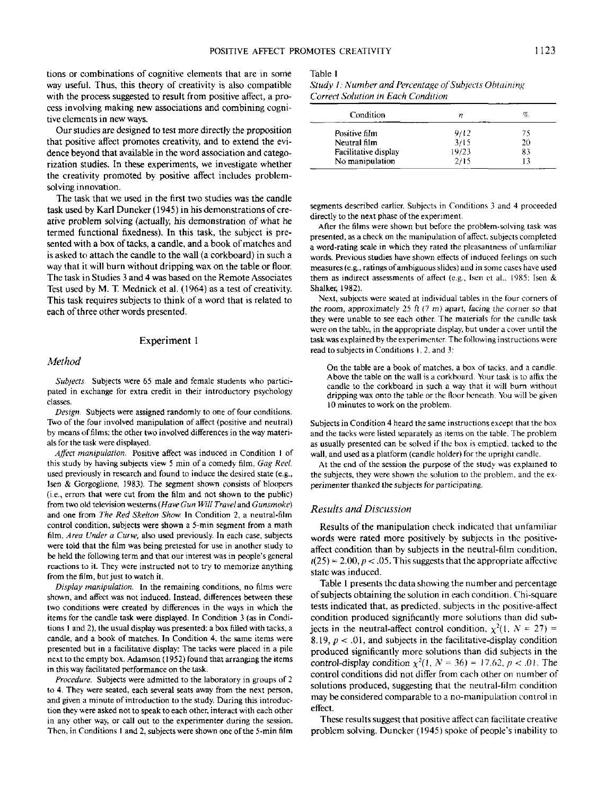tions or combinations of cognitive elements that are in some way useful. Thus, this theory of creativity is also compatible with the process suggested to result from positive affect, a process involving making new associations and combining cognitive elements in new ways.

Our studies are designed to test more directly the proposition that positive affect promotes creativity, and to extend the evidence beyond that available in the word association and categorization studies. In these experiments, we investigate whether the creativity promoted by positive affect includes problemsolving innovation.

The task that we used in the first two studies was the candle task used by Karl Duncker (1945) in his demonstrations of creative problem solving (actually, his demonstration of what he termed functional fixedness). In this task, the subject is presented with a box of tacks, a candle, and a book of matches and is asked to attach the candle to the wall (a corkboard) in such a way that it will burn without dripping wax on the table or floor. The task in Studies 3 and 4 was based on the Remote Associates Test used by M. T. Mednick et al. (1964) as a test of creativity. This task requires subjects to think of a word that is related to each of three other words presented.

### Experiment 1

### *Method*

*Subjects* Subjects were 65 male and female students who participated in exchange for extra credit in their introductory psychology classes.

*Design.* Subjects were assigned randomly to one of four conditions. Two of the four involved manipulation of affect (positive and neutral) by means of films; the other two involved differences in the way materials for the task were displayed.

*Affect manipulation.* Positive affect was induced in Condition 1 of this study by having subjects view 5 min of a comedy film. *Gag Reel.* used previously in research and found to induce the desired state (e.g., Isen  $\&$  Gorgoglione, 1983). The segment shown consists of bloopers (i.e., errors that were cut from the film and not shown to the public) from two old television westerns *(Have Gun Will Travel and Gunsmoke]* and one from *The Red Skelton Show.* In Condition 2, a neutral-film control condition, subjects were shown a 5-min segment from a math film. *Area Under a Curve,* also used previously. In each case, subjects were told that the film was being pretested for use in another study to be held the following term and that our interest was in people's general reactions to it. They were instructed not to try to memorize anything from the film, but just to watch it.

*Display manipulation.* In the remaining conditions, no films were shown, and affect was not induced. Instead, differences between these two conditions were created by differences in the ways in which the items for the candle task were displayed. In Condition 3 (as in Conditions I and 2), the usual display was presented: a box filled with tacks, a candle, and a book of matches. In Condition 4, the same items were presented but in a facilitative display: The tacks were placed in a pile next to the empty box. Adamson (1952) found that arranging the items in this way facilitated performance on the task.

*Procedure.* Subjects were admitted to the laboratory in groups of 2 to 4. They were seated, each several seats away from the next person, and given a minute of introduction to the study. During this introduction they were asked not to speak to each other, interact with each other in any other way, or call out to the experimenter during the session. Then, in Conditions 1 and 2, subjects were shown one of the 5-min film Table 1

| Study 1: Number and Percentage of Subjects Obtaining |  |
|------------------------------------------------------|--|
| Correct Solution in Each Condition                   |  |

| Condition            | n     | %. |
|----------------------|-------|----|
| Positive film        | 9/12  | 75 |
| Neutral film         | 3/15  | 20 |
| Facilitative display | 19/23 | 83 |
| No manipulation      | 2/15  |    |

segments described earlier. Subjects in Conditions 3 and 4 proceeded directly to the next phase of the experiment.

After the films were shown but before the problem-solving task was presented, as a check on the manipulation of affect, subjects completed a word-rating scale in which they rated the pleasantness of unfamiliar words. Previous studies have shown effects of induced feelings on such measures (e.g., ratings of ambiguous slides) and in some cases have used them as indirect assessments of affect (e.g., Isen et al., 1985; Isen & Shalker, 1982).

Next, subjects were seated at individual tables in the four corners of the room, approximately 25 ft  $(7 \text{ m})$  apart, facing the corner so that they were unable to see each other. The materials for the candle task were on the table, in the appropriate display, but under a cover until the task was explained by the experimenter. The following instructions were read to subjects in Conditions 1, 2, and 3:

On the table are a book of matches, a box of tacks, and a candle. Above the table on the wall is a corkboard. Your task is to affix the candle to the corkboard in such a way that it will burn without dripping wax onto the table or the floor beneath. You will be given 10 minutes to work on the problem.

Subjects in Condition 4 heard the same instructions except that the box and the tacks were listed separately as items on the table. The problem as usually presented can be solved if the box is emptied, tacked to the wall, and used as a platform (candle holder) for the upright candle.

At the end of the session the purpose of the study was explained to the subjects, they were shown the solution to the problem, and the experimenter thanked the subjects for participating.

### *Results and Discussion*

Results of the manipulation check indicated that unfamiliar words were rated more positively by subjects in the positiveaffect condition than by subjects in the neutral-film condition,  $t(25) = 2.00, p < 0.05$ . This suggests that the appropriate affective state was induced.

Table 1 presents the data showing the number and percentage of subjects obtaining the solution in each condition. Chi-square tests indicated that, as predicted, subjects in the positive-affect condition produced significantly more solutions than did subjects in the neutral-affect control condition,  $\chi^2(1, N = 27)$ 8.19,  $p < .01$ , and subjects in the facilitative-display condition produced significantly more solutions than did subjects in the control-display condition  $\chi^2(1, N = 36) = 17.62, p < .01$ . The control conditions did not differ from each other on number of solutions produced, suggesting that the neutral-film condition may be considered comparable to a no-manipulation control in effect.

These results suggest that positive affect can facilitate creative problem solving. Duncker (1945) spoke of people's inability to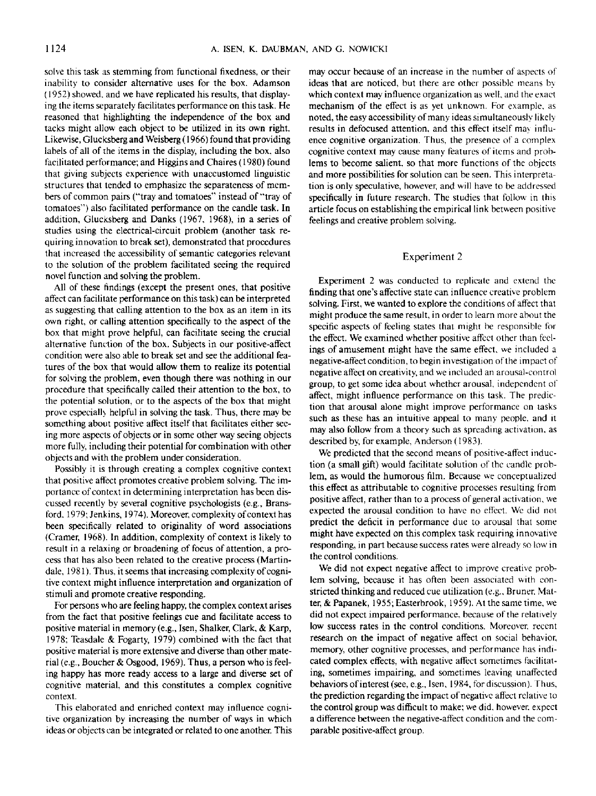solve this task as stemming from functional fixedness, or their inability to consider alternative uses for the box. Adamson (1952) showed, and we have replicated his results, that displaying the items separately facilitates performance on this task. He reasoned that highlighting the independence of the box and tacks might allow each object to be utilized in its own right. Likewise, Glucksberg and Weisberg (1966) found that providing labels of all of the items in the display, including the box, also facilitated performance; and Higgins and Chaires (1980) found that giving subjects experience with unaccustomed linguistic structures that tended to emphasize the separateness of members of common pairs ("tray and tomatoes" instead of "tray of tomatoes") also facilitated performance on the candle task. In addition, Glucksberg and Danks (1967. 1968), in a series of studies using the electrical-circuit problem (another task requiring innovation to break set), demonstrated that procedures that increased the accessibility of semantic categories relevant to the solution of the problem facilitated seeing the required novel function and solving the problem.

All of these findings (except the present ones, that positive affect can facilitate performance on this task) can be interpreted as suggesting that calling attention to the box as an item in its own right, or calling attention specifically to the aspect of the box that might prove helpful, can facilitate seeing the crucial alternative function of the box. Subjects in our positive-affect condition were also able to break set and see the additional features of the box that would allow them to realize its potential for solving the problem, even though there was nothing in our procedure that specifically called their attention to the box, to the potential solution, or to the aspects of the box that might prove especially helpful in solving the task. Thus, there may be something about positive affect itself that facilitates either secing more aspects of objects or in some other way seeing objects more fully; including their potential for combination with other objects and with the problem under consideration.

Possibly it is through creating a complex cognitive context that positive affect promotes creative problem solving. The importance of context in determining interpretation has been discussed recently by several cognitive psychologists (e.g., Bransford. 1979; Jenkins, 1974). Moreover, complexity of context has been specifically related to originality of word associations (Cramer, 1968). In addition, complexity of context is likely to result in a relaxing or broadening of focus of attention, a process that has also been related to the creative process (Martindale, 1981). Thus, it seems that increasing complexity of cognitive context might influence interpretation and organization of stimuli and promote creative responding.

For persons who are feeling happy, the complex context arises from the fact that positive feelings cue and facilitate access to positive material in memory (e.g., Isen, Shalker, Clark, & Karp, 1978; Teasdale & Fogarty, 1979) combined with the fact that positive material is more extensive and diverse than other material (e.g., Boucher & Osgood, 1969). Thus, a person who is feeling happy has more ready access to a large and diverse set of cognitive material, and this constitutes a complex cognitive context.

This elaborated and enriched context may influence cognitive organization by increasing the number of ways in which ideas or objects can be integrated or related to one another. This may occur because of an increase in the number of aspects of ideas that are noticed, but there are other possible means by which context may influence organization as well, and the exact mechanism of the effect is as yet unknown. For example, as noted, the easy accessibility of many ideas simultaneously likely results in defocused attention, and this effect itself may influence cognitive organization. Thus, the presence of a complex cognitive context may cause many features of items and problems to become salient, so that more functions of the objects and more possibilities for solution can be seen. This interpretation is only speculative, however, and will have to be addressed specifically in future research. The studies that follow in this article focus on establishing the empirical link between positive feelings and creative problem solving.

### **Experiment 2**

Experiment 2 was conducted to replicate and extend the finding that one's affective state can influence creative problem solving. First, we wanted to explore the conditions of affect that might produce the same result, in order to learn more about the specific aspects of feeling states that might be responsible for the effect. We examined whether positive affect other than feelings of amusement might have the same effect, we included a negative-affect condition, to begin investigation of the impact of negative affect on creativity, and we included an arousal-control group, to get some idea about whether arousal, independent of affect, might influence performance on this task. The prediction that arousal alone might improve performance on tasks such as these has an intuitive appeal to many people, and it may also follow from a theory such as spreading activation, as described by, for example, Anderson (1983).

We predicted that the second means of positive-affect induction (a small gift) would facilitate solution of the candle problem, as would the humorous film. Because we conceptualized this effect as attributable to cognitive processes resulting from positive affect, rather than to a process of general activation, we expected the arousal condition to have no effect. We did not predict the deficit in performance due to arousal that some might have expected on this complex task requiring innovative responding, in part because success rates were already so low in the control conditions.

We did not expect negative affect to improve creative problem solving, because it has often been associated with constricted thinking and reduced cue utilization (e.g., Bruner. Matter, & Papanek, 1955; Easterbrook, 1959). At the same time, we did not expect impaired performance, because of the relatively low success rates in the control conditions. Moreover, recent research on the impact of negative affect on social behavior, memory, other cognitive processes, and performance has indicated complex effects, with negative affect sometimes facilitating, sometimes impairing, and sometimes leaving unaffected behaviors of interest (see, e.g., Isen, 1984, for discussion). Thus, the prediction regarding the impact of negative affect relative to the control group was difficult to make; we did. however, expect a difference between the negative-affect condition and the comparable positive-affect group.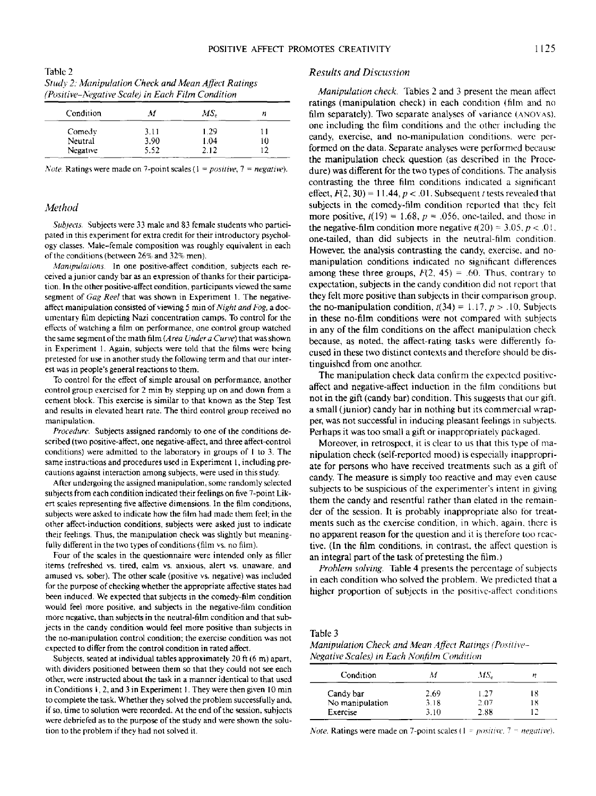| Table 2                                             |
|-----------------------------------------------------|
| Study 2: Manipulation Check and Mean Affect Ratings |
| (Positive–Negative Scale) in Each Film Condition    |

| Condition       | М    | MS.  |    |
|-----------------|------|------|----|
| Comedy          | 3.11 | 1.29 |    |
| Neutral         | 3.90 | 1.04 | ı0 |
| <b>Negative</b> | 5.52 | 2.12 |    |

Ratings were made on 7-point scales (1 = *positive, 1 = negative).*

### *Method*

*Subjects.* Subjects were 33 male and 83 female students who participated in this experiment for extra credit for their introductory psychology classes. Male-female composition was roughly equivalent in each of the conditions (between 26% and 32% men).

*Manipulations.* In one positive-affect condition, subjects each received a junior candy bar as an expression of thanks for their participation. In the other positive-affect condition, participants viewed the same segment of *Gag Reel* that was shown in Experiment 1. The negativeaffect manipulation consisted of viewing 5 min *of Night and Fog,* a documentary film depicting Nazi concentration camps. To control for the effects of watching a film on performance, one control group watched the same segment of the math film *(Area Under a Curve)* that was shown in Experiment 1. Again, subjects were told that the films were being pretested for use in another study the following term and that our interest was in people's general reactions to them.

To control for the effect of simple arousal on performance, another control group exercised for 2 min by stepping up on and down from a cement block. This exercise is similar to that known as the Step Test and results in elevated heart rate. The third control group received no manipulation.

*Procedure.* Subjects assigned randomly to one of the conditions described (two positive-affect, one negative-affect, and three affect-control conditions) were admitted to the laboratory in groups of 1 to 3. The same instructions and procedures used in Experiment 1, including precautions against interaction among subjects, were used in this study.

After undergoing the assigned manipulation, some randomly selected subjects from each condition indicated their feelings on five 7-point Likert scales representing five affective dimensions. In the film conditions, subjects were asked to indicate how the film had made them feel; in the other affect-induction conditions, subjects were asked just to indicate their feelings. Thus, the manipulation check was slightly but meaningfully different in the two types of conditions (film vs. no film).

Four of the scales in the questionnaire were intended only as filler items (refreshed vs. tired, calm vs. anxious, alert vs. unaware, and amused vs. sober). The other scale (positive vs. negative) was included for the purpose of checking whether the appropriate affective states had been induced. We expected that subjects in the comedy-film condition would feel more positive, and subjects in the negative-film condition more negative, than subjects in the neutral-film condition and that subjects in the candy condition would feel more positive than subjects in the no-manipulation control condition; the exercise condition was not expected to differ from the control condition in rated affect.

Subjects, seated at individual tables approximately 20 ft (6 m) apart, with dividers positioned between them so that they could not see each other, were instructed about the task in a manner identical to that used in Conditions 1, 2. and 3 in Experiment 1. They were then given 10 min to complete the task. Whether they solved the problem successfully and, if so, time to solution were recorded. At the end of the session, subjects were debriefed as to the purpose of the study and were shown the solution to the problem if they had not solved it.

### *Results and Discussion*

*Manipulation check.* Tables 2 and 3 present the mean affect ratings (manipulation check) in each condition (film and no film separately). Two separate analyses of variance (ANOVAS), one including the film conditions and the other including the candy, exercise, and no-manipulation conditions, were performed on the data. Separate analyses were performed because the manipulation check question (as described in the Procedure) was different for the two types of conditions. The analysis contrasting the three film conditions indicated a significant effect,  $F(2, 30) = 11.44$ ,  $p < .01$ . Subsequent *t* tests revealed that subjects in the comedy-film condition reported that they felt more positive,  $t(19) = 1.68$ ,  $p = .056$ , one-tailed, and those in the negative-film condition more negative  $t(20) = 3.05$ ,  $p < .01$ . one-tailed, than did subjects in the neutral-film condition. However, the analysis contrasting the candy, exercise, and nomanipulation conditions indicated no significant differences among these three groups,  $F(2, 45) = .60$ . Thus, contrary to expectation, subjects in the candy condition did not report that they felt more positive than subjects in their comparison group, the no-manipulation condition,  $t(34) = 1.17, p > .10$ . Subjects in these no-film conditions were not compared with subjects in any of the film conditions on the affect manipulation check because, as noted, the affect-rating tasks were differently focused in these two distinct contexts and therefore should be distinguished from one another.

The manipulation check data confirm the expected positiveaffect and negative-affect induction in the film conditions but not in the gift (candy bar) condition. This suggests that our gift, a small (junior) candy bar in nothing but its commercial wrapper, was not successful in inducing pleasant feelings in subjects. Perhaps it was too small a gift or inappropriately packaged.

Moreover, in retrospect, it is clear to us that this type of manipulation check (self-reported mood) is especially inappropriate for persons who have received treatments such as a gift of candy. The measure is simply too reactive and may even cause subjects to be suspicious of the experimenter's intent in giving them the candy and resentful rather than elated in the remainder of the session. It is probably inappropriate also for treatments such as the exercise condition, in which, again, there is no apparent reason for the question and it is therefore too reactive. (In the film conditions, in contrast, the affect question is an integral part of the task of pretesting the film.)

*Problem solving.* Table 4 presents the percentage of subjects in each condition who solved the problem. We predicted that a higher proportion of subjects in the positive-affect conditions

#### Table 3

*Manipulation Check and Mean Affect Ratings (Positive-Negative Scales) in Each Nonfilm Condition*

| Condition                    |              | MS.          |          |
|------------------------------|--------------|--------------|----------|
| Candy bar<br>No manipulation | 2.69<br>3.18 | 1.27<br>2.07 | 18<br>18 |
| Exercise                     | 3.10         | 2.88         |          |

*Note.* Ratings were made on 7-point scales ( $1 \approx positive$ ,  $7 = negative$ ).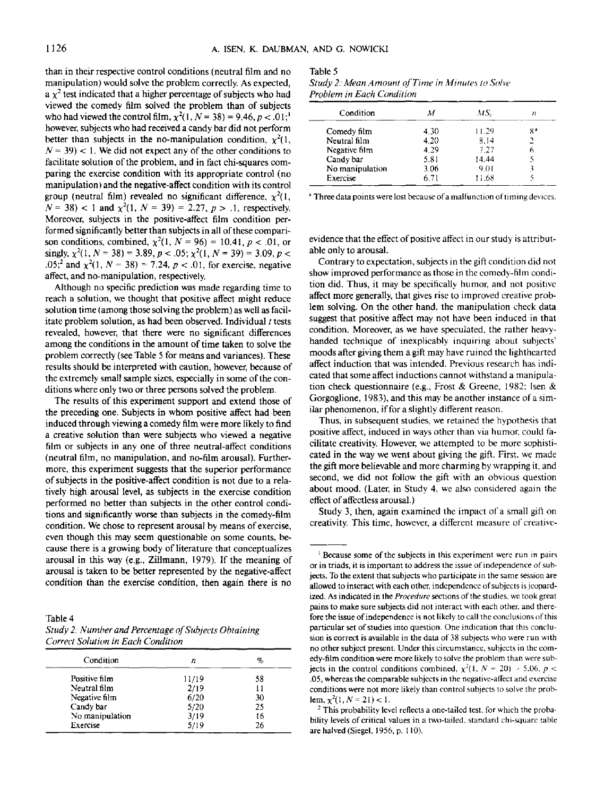than in their respective control conditions (neutral film and no manipulation) would solve the problem correctly. As expected, a  $\chi^2$  test indicated that a higher percentage of subjects who had viewed the comedy film solved the problem than of subjects who had viewed the control film,  $\chi^2(1, N = 38) = 9.46, p < .01$ ; however, subjects who had received a candy bar did not perform better than subjects in the no-manipulation condition,  $\chi^2(1)$ ,  $N = 39$  < 1. We did not expect any of the other conditions to facilitate solution of the problem, and in fact chi-squares comparing the exercise condition with its appropriate control (no manipulation) and the negative-affect condition with its control group (neutral film) revealed no significant difference,  $\chi^2(1,$  $N = 38$ ) < 1 and  $\chi^2(1, N = 39) = 2.27, p > .1$ , respectively. Moreover, subjects in the positive-affect film condition performed significantly better than subjects in all of these comparison conditions, combined,  $\chi^2(1, N = 96) = 10.41, p < .01$ , or singly,  $\chi^2(1, N = 38) = 3.89, p < .05$ ;  $\chi^2(1, N = 39) = 3.09, p < .05$  $(0.05)^2$  and  $\chi^2(1, N = 38) = 7.24, p < 0.01$ , for exercise, negative affect, and no-manipulation, respectively.

Although no specific prediction was made regarding time to reach a solution, we thought that positive affect might reduce solution time (among those solving the problem) as well as facilitate problem solution, as had been observed. Individual t tests revealed, however, that there were no significant differences among the conditions in the amount of time taken to solve the problem correctly (see Table 5 for means and variances). These results should be interpreted with caution, however, because of the extremely small sample sizes, especially in some of the conditions where only two or three persons solved the problem.

The results of this experiment support and extend those of the preceding one. Subjects in whom positive affect had been induced through viewing a comedy film were more likely to find a creative solution than were subjects who viewed a negative film or subjects in any one of three neutral-affect conditions (neutral film, no manipulation, and no-film arousal). Furthermore, this experiment suggests that the superior performance of subjects in the positive-affect condition is not due to a relatively high arousal level, as subjects in the exercise condition performed no better than subjects in the other control conditions and significantly worse than subjects in the comedy-film condition. We chose to represent arousal by means of exercise, even though this may seem questionable on some counts, because there is a growing body of literature that conceptualizes arousal in this way (e.g., Zillmann. 1979). If the meaning of arousal is taken to be better represented by the negative-affect condition than the exercise condition, then again there is no

Table 4 *Study 2: Number and Percentage of Subjects Obtaining Correct Solution in Each Condition*

| Condition       | n     | %  |
|-----------------|-------|----|
| Positive film   | 11/19 | 58 |
| Neutral film    | 2/19  | 11 |
| Negative film   | 6/20  | 30 |
| Candy bar       | 5/20  | 25 |
| No manipulation | 3/19  | 16 |
| Exercise        | 5/19  | 26 |

| Table 5 |  |
|---------|--|
|         |  |

| Study 2: Mean Amount of Time in Minutes to Solve |  |  |
|--------------------------------------------------|--|--|
| Problem in Each Condition                        |  |  |

| Condition       |      | MS.   | n  |
|-----------------|------|-------|----|
| Comedy film     | 4.30 | 11.29 | 8ª |
| Neutral film    | 4.20 | 8.14  | 2  |
| Negative film   | 4.29 | 7.27  |    |
| Candy bar       | 5.81 | 14.44 |    |
| No manipulation | 3.06 | 9.01  |    |
| Exercise        | 6.71 | 11.68 |    |

<sup>a</sup> Three data points were lost because of a malfunction of timing devices.

evidence that the effect of positive affect in our study is attributable only to arousal.

Contrary to expectation, subjects in the gift condition did not show improved performance as those in the comedy-film condition did. Thus, it may be specifically humor, and not positive affect more generally, that gives rise to improved creative problem solving. On the other hand, the manipulation check data suggest that positive affect may not have been induced in that condition. Moreover, as we have speculated, the rather heavyhanded technique of inexplicably inquiring about subjects' moods after giving them a gift may have ruined the lighthcarted affect induction that was intended. Previous research has indicated that some affect inductions cannot withstand a manipulation check questionnaire (e.g.. Frost & Greene, 1982; [sen & Gorgoglione, 1983), and this may be another instance of a similar phenomenon, if for a slightly different reason.

Thus, in subsequent studies, we retained the hypothesis that positive affect, induced in ways other than via humor, could facilitate creativity. However, we attempted to be more sophisticated in the way we went about giving the gift. First, we made the gift more believable and more charming by wrapping it, and second, we did not follow the gift with an obvious question about mood. (Later, in Study 4, we also considered again the effect of affectless arousal.)

Study 3, then, again examined the impact of a small gift on creativity. This time, however, a different measure of creative-

<sup>&</sup>lt;sup>1</sup> Because some of the subjects in this experiment were run in pairs or in triads, it is important to address the issue of independence of subjects. To the extent that subjects who participate in the same session are allowed to interact with each other, independence of subjects is jeopardized. As indicated in the *Procedure* sections of the studies, we took great pains to make sure subjects did not interact with each other, and therefore the issue of independence is not likely to call the conclusions of this particular set of studies into question. One indication that this conclusion is correct is available in the data of 38 subjects who were run with no other subject present. Under this circumstance, subjects in the comedy-film condition were more likely to solve the problem than were subjects in the control conditions combined,  $\chi^2(1, N = 20) = 5.06$ ,  $p <$ .05, whereas the comparable subjects in the negative-affect and exercise conditions were not more likely than control subjects 10 solve the problem,  $\chi^2(1, N = 21) < 1$ .

<sup>&</sup>lt;sup>2</sup> This probability level reflects a one-tailed test, for which the probability levels of critical values in a two-tailed, standard chi-squarc table are halved (Siegel, 1956, p. 110).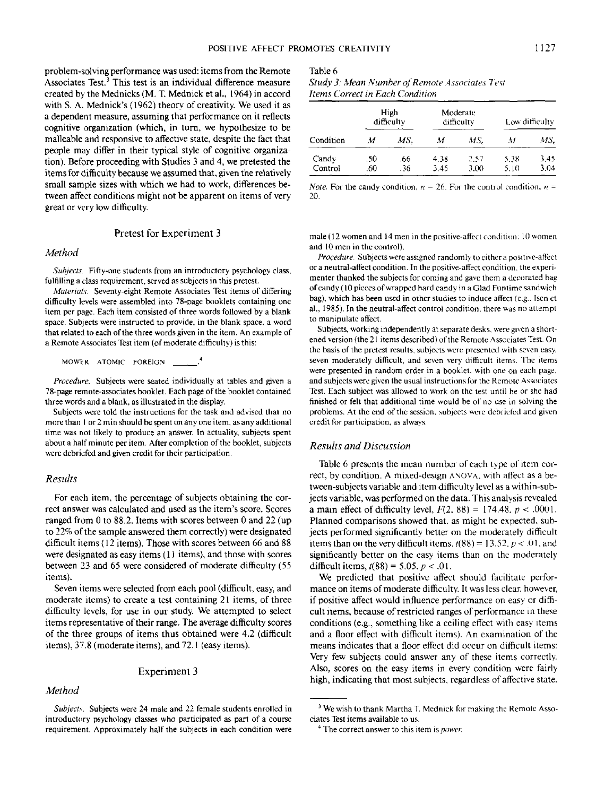problem-solving performance was used: items from the Remote Associates Test.<sup>3</sup> This test is an individual difference measure created by the Mednicks (M. T. Mednick et al., 1964) in accord with S. A. Mednick's (1962) theory of creativity. We used it as a dependent measure, assuming that performance on it reflects cognitive organization (which, in turn, we hypothesize to be malleable and responsive to affective state, despite the fact that people may differ in their typical style of cognitive organization). Before proceeding with Studies 3 and 4, we pretested the items for difficulty because we assumed that, given the relatively small sample sizes with which we had to work, differences between affect conditions might not be apparent on items of very great or very low difficulty.

#### Pretest for Experiment 3

### *Method*

*Subjects.* Fifty-one students from an introductory psychology class, fulfilling a class requirement, served as subjects in this pretest.

*Materials.* Seventy-eight Remote Associates Test items of differing difficulty levels were assembled into 78-page booklets containing one item per page. Each item consisted of three words followed by a blank space. Subjects were instructed to provide, in the blank space, a word that related to each of the three words given in the item. An example of a Remote Associates Test item (of moderate difficulty) is this:

MOWER ATOMIC FOREIGN \_

*Procedure.* Subjects were seated individually al tables and given a 78-page remote-associates booklet. Each page of the booklet contained three words and a blank, as illustrated in the display.

4

Subjects were told the instructions for the task and advised that no more than I or 2 min should be spent on any one item, as any additional time was not likely to produce an answer. In actuality, subjects spent about a half minute per item. After completion of the booklet, subjects were debriefed and given credit for their participation.

### *Results*

For each item, the percentage of subjects obtaining the correct answer was calculated and used as the item's score. Scores ranged from 0 to 88.2. Items with scores between 0 and 22 (up to 22% of the sample answered them correctly) were designated difficult items (12 items). Those with scores between 66 and 88 were designated as easy items (11 items), and those with scores between 23 and 65 were considered of moderate difficulty (55 items).

Seven items were selected from each pool (difficult, easy, and moderate items) to create a test containing 21 items, of three difficulty levels, for use in our study. We attempted to select items representative of their range. The average difficulty scores of the three groups of items thus obtained were 4.2 (difficult items), 37.8 (moderate items), and 72.1 (easy items).

#### Experiment 3

# *Method*

#### Table 6

| <b>Study 3: Mean Number of Remote Associates Test</b> |  |
|-------------------------------------------------------|--|
| Items Correct in Each Condition                       |  |

| High<br>difficulty |            | Moderate<br>difficulty |              |              | Low difficulty |
|--------------------|------------|------------------------|--------------|--------------|----------------|
| М                  | MS.        | M                      | MS.          | M            | MS.            |
| .50<br>.60         | .66<br>.36 | 4.38<br>3.45           | 2.57<br>3.00 | 5.38<br>5.10 | 3.45<br>3.04   |
|                    |            |                        |              |              |                |

*Note.* For the candy condition,  $n = 26$ . For the control condition,  $n =$ 20.

male (12 women and 14 men in the positive-affect condition. 10 women and 10 men in the control).

*Procedure.* Subjects were assigned randomly to either a positive-affect or a neutral-affect condition. In the positive-affect condition, the experimenter thanked the subjects for coming and gave them a decorated hag of candy (10 pieces of wrapped hard candy in a Glad Funtime sandwich bag), which has been used in other studies to induce affect (e.g.. Isen et al., 1985). In the neutral-affect control condition, there was no attempt to manipulate affect.

Subjects, working independently at separate desks, were given a shortened version (the 21 items described) of the Remote Associates Test. On the basis of the pretest results, subjects were presented with seven easy, seven moderately difficult, and seven very difficult items. The items were presented in random order in a booklet, with one on each page, and subjects were given the usual instructions for the Remote Associates Test. Each subject was allowed to work on the test until he or she had finished or felt that additional time would be of no use in solving the problems. At the end of the session, subjects were debriefed and given credit for participation, as always.

### *Results and Discussion*

Table 6 presents the mean number of each type of item correct, by condition. A mixed-design ANOVA, with affect as a between-subjects variable and item difficulty level as a within-subjects variable, was performed on the data. This analysis revealed a main effect of difficulty level, F(2. 88) = 174.48. *p <* .0001. Planned comparisons showed that, as might be expected, subjects performed significantly better on the moderately difficult items than on the very difficult items,  $t(88) = 13.52$ ,  $p < .01$ , and significantly better on the easy ilems than on the moderately difficult items,  $t(88) = 5.05, p < .01$ .

We predicted that positive affect should facilitate performance on items of moderate difficulty. It was less clear, however, if positive affect would influence performance on easy or difficult items, because of restricted ranges of performance in these conditions (e.g., something like a ceiling effect with easy items and a door effect with difficult items). An examination of the means indicates that a floor effect did occur on difficult items: Very few subjects could answer any of these items correctly. Also, scores on the easy items in every condition were fairly high, indicating that most subjects, regardless of affective state.

Subjects. Subjects were 24 male and 22 female students enrolled in introductory psychology classes who participated as part of a course requirement. Approximately half the subjects in each condition were

<sup>&</sup>lt;sup>3</sup> We wish to thank Martha T. Mednick for making the Remote Associates Test items available to us.

<sup>4</sup> The correct answer to this item is *power.*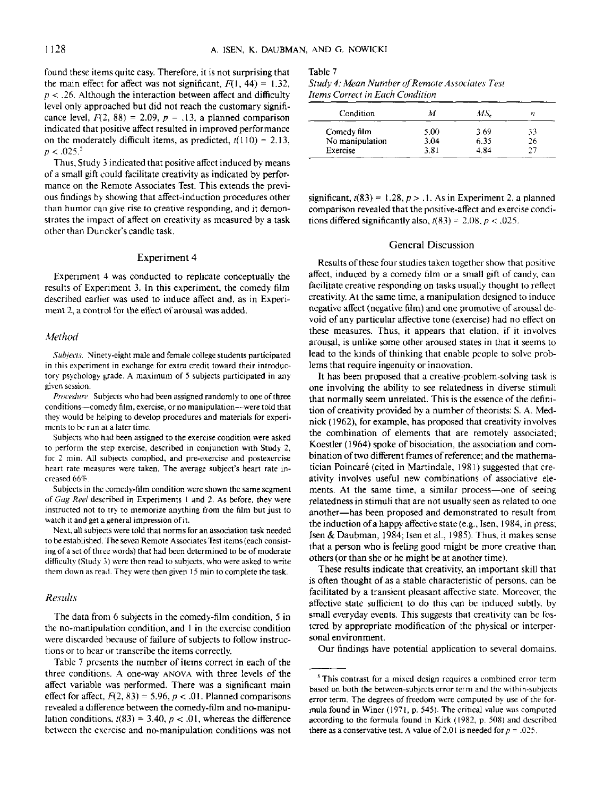found these items quite easy. Therefore, it is not surprising that the main effect for affect was not significant,  $F(1, 44) = 1.32$ ,  $p < 0.26$ . Although the interaction between affect and difficulty level only approached but did not reach the customary significance level,  $F(2, 88) = 2.09$ ,  $p = .13$ , a planned comparison indicated that positive affect resulted in improved performance on the moderately difficult items, as predicted,  $t(110) = 2.13$ ,  $p < .025.^5$ 

Thus, Study 3 indicated that positive affect induced by means of a small gift could facilitate creativity as indicated by performance on the Remote Associates Test. This extends the previous findings by showing that affect-induction procedures other than humor can give rise to creative responding, and it demonstrates the impact of affect on creativity as measured by a task other than Duncker's candle task.

#### **Experiment 4**

Experiment 4 was conducted to replicate conceptually the results of Experiment 3. In this experiment, the comedy film described earlier was used to induce affect and, as in Experiment 2, a control for the effect of arousal was added.

### *Method*

Subjects. Ninety-eight male and female college students participated in this experiment in exchange for extra credit toward their introductory psychology grade. A maximum of 5 subjects participated in any given session.

*Procedure* Subjects who had been assigned randomly to one of three conditions—comedy film, exercise, or no manipulation—were told that they would be helping to develop procedures and materials for experiments to be run at a later time.

Subjects who had been assigned to the exercise condition were asked to perform the step exercise, described in conjunction with Study 2, for 2 min. All subjects complied, and pre-exercise and postexercise heart rate measures were taken. The average subject's heart rate increased 66%.

Subjects in the comedy-film condition were shown the same segment of *Gag Reel* described in Experiments 1 and 2. As before, they were instructed not to try to memorize anything from the film but just to watch it and get a general impression of it.

Next, all subjects were told that norms for an association task needed to be established. The seven Remote Associates Test items (each consisting of a set of three words) that had been determined to be of moderate difficulty (Study 3) were then read to subjects, who were asked to write them down as read. They were then given 15 min to complete the task.

### *Results*

The data from 6 subjects in the comedy-film condition, 5 in the no-manipulation condition, and 1 in the exercise condition were discarded because of failure of subjects to follow instructions or to hear or transcribe the items correctly.

Table 7 presents the number of items correct in each of the three conditions. A one-way ANOVA with three levels of the affect variable was performed. There was a significant main effect for affect,  $F(2, 83) = 5.96$ ,  $p < .01$ . Planned comparisons revealed a difference between the comedy-film and no-manipulation conditions,  $t(83) = 3.40$ ,  $p < .01$ , whereas the difference between the exercise and no-manipulation conditions was not

| Table 7              |  |  |
|----------------------|--|--|
| 0. 1 1 1 1 . 11 . 1. |  |  |

| Study 4: Mean Number of Remote Associates Test |  |
|------------------------------------------------|--|
| Items Correct in Each Condition                |  |

| Condition       | м    | MS.  |    |
|-----------------|------|------|----|
| Comedy film     | 5.00 | 3.69 | 33 |
| No manipulation | 3.04 | 6.35 | 26 |
| Exercise        | 381  | 4.84 | 77 |

significant,  $t(83) = 1.28$ ,  $p > 0.1$ . As in Experiment 2, a planned comparison revealed that the positive-affect and exercise conditions differed significantly also,  $t(83) = 2.08$ ,  $p < .025$ .

### General Discussion

Results of these four studies taken together show that positive affect, induced by a comedy film or a small gift of candy, can facilitate creative responding on tasks usually thought to reflect creativity. At the same time, a manipulation designed to induce negative affect (negative film) and one promotive of arousal devoid of any particular affective tone (exercise) had no effect on these measures. Thus, it appears that elation, if it involves arousal, is unlike some other aroused states in that it seems to lead to the kinds of thinking that enable people to solve problems that require ingenuity or innovation.

It has been proposed that a creative-problem-solving task is one involving the ability to see relatedness in diverse stimuli that normally seem unrelated. This is the essence of the definition of creativity provided by a number of theorists: S. A. Mednick (1962), for example, has proposed that creativity involves the combination of elements that are remotely associated; Koestler (1964) spoke of bisociation, the association and combination of two different frames of reference; and the mathematician Poincaré (cited in Martindale, 1981) suggested that creativity involves useful new combinations of associative elements. At the same time, a similar process—one of seeing relatedness in stimuli that are not usually seen as related to one another—has been proposed and demonstrated to result from the induction of a happy affective state (e.g., Isen, 1984, in press; Isen & Daubman, 1984; Isen etal., 1985). Thus, it makes sense that a person who is feeling good might be more creative than others (or than she or he might be at another time).

These results indicate that creativity, an important skill that is often thought of as a stable characteristic of persons, can be facilitated by a transient pleasant affective state. Moreover, the affective state sufficient to do this can be induced subtly, by small everyday events. This suggests that creativity can be fostered by appropriate modification of the physical or interpersonal environment.

Our findings have potential application to several domains.

<sup>&#</sup>x27; This contrast for a mixed design requires a combined error term based on both the between-subjects error term and the within-subjects error term. The degrees of freedom were computed by use of the formula found in Winer (1971, p. 545). The critical value was computed according to the formula found in Kirk (1982, p. 508) and described there as a conservative test. A value of 2.01 is needed for  $p = .025$ .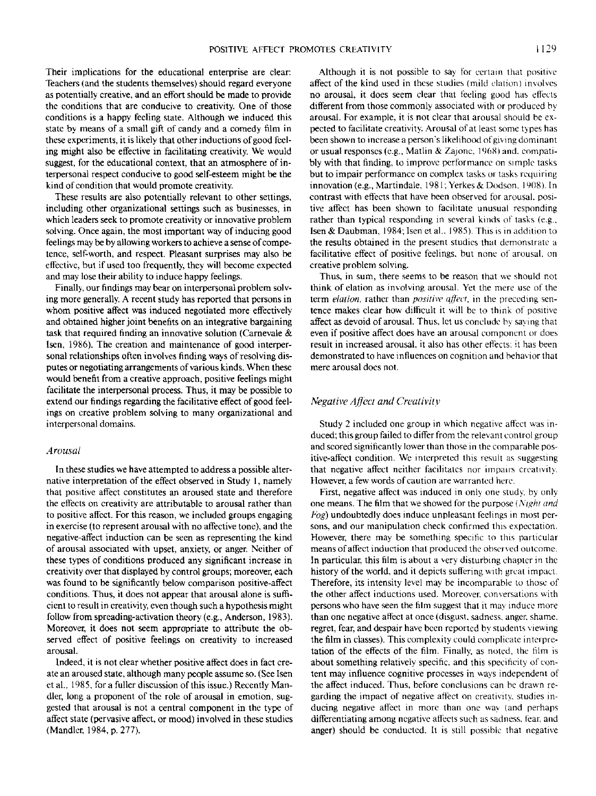Their implications for the educational enterprise are clear: Teachers (and the students themselves) should regard everyone as potentially creative, and an effort should be made to provide the conditions that are conducive to creativity. One of those conditions is a happy feeling state. Although we induced this state by means of a small gift of candy and a comedy film in these experiments, it is likely that other inductions of good feeling might also be effective in facilitating creativity. We would suggest, for the educational context, that an atmosphere of interpersonal respect conducive to good self-esteem might be the kind of condition that would promote creativity.

These results are also potentially relevant to other settings, including other organizational settings such as businesses, in which leaders seek to promote creativity or innovative problem solving. Once again, the most important way of inducing good feelings may be by allowing workers to achieve a sense of competence, self-worth, and respect. Pleasant surprises may also be effective, but if used too frequently, they will become expected and may lose their ability to induce happy feelings.

Finally, our findings may bear on interpersonal problem solving more generally. A recent study has reported that persons in whom positive affect was induced negotiated more effectively and obtained higher joint benefits on an integrative bargaining task that required finding an innovative solution (Carnevale & Isen, 1986). The creation and maintenance of good interpersonal relationships often involves finding ways of resolving disputes or negotiating arrangements of various kinds. When these would benefit from a creative approach, positive feelings might facilitate the interpersonal process. Thus, it may be possible to extend our findings regarding the facilitative effect of good feelings on creative problem solving to many organizational and interpersonal domains.

#### *Arousal*

In these studies we have attempted to address a possible alternative interpretation of the effect observed in Study 1, namely that positive affect constitutes an aroused state and therefore the effects on creativity are attributable to arousal rather than to positive affect. For this reason, we included groups engaging in exercise (to represent arousal with no affective tone), and the negative-affect induction can be seen as representing the kind of arousal associated with upset, anxiety, or anger. Neither of these types of conditions produced any significant increase in creativity over that displayed by control groups; moreover, each was found to be significantly below comparison positive-affect conditions. Thus, it does not appear that arousal alone is sufficient to result in creativity, even though such a hypothesis might follow from spreading-activation theory (e.g., Anderson, 1983). Moreover, it does not seem appropriate to attribute the observed effect of positive feelings on creativity to increased arousal.

Indeed, it is not clear whether positive affect does in fact create an aroused state, although many people assume so. (See Isen et al., 1985, for a fuller discussion of this issue.) Recently Mandler, long a proponent of the role of arousal in emotion, suggested that arousal is not a central component in the type of affect state (pervasive affect, or mood) involved in these studies (Mandler, 1984, p. 277).

Although it is not possible to say for certain that positive affect of the kind used in these studies (mild elation) involves no arousal, it does seem clear that feeling good has effects different from those commonly associated with or produced by arousal. For example, it is not clear that arousal should be expected to facilitate creativity. Arousal of at least some types has been shown to increase a person's likelihood of giving dominant or usual responses (e.g., Matlin & Zajonc, 1968) and. compatibly with that finding, to improve performance on simple tasks but to impair performance on complex tasks or tasks requiring innovation (e.g., Martindale, 1981; Yerkes & Dodson, 1908). In contrast with effects that have been observed for arousal, positive affect has been shown to facilitate unusual responding rather than typical responding in several kinds of tasks (e.g., Isen & Daubman, 1984; Isen etal., 1985). This is in addition to the results obtained in the present studies that demonstrate a facilitative effect of positive feelings, but none of arousal, on creative problem solving.

Thus, in sum, there seems to be reason that we should not think of elation as involving arousal. Yet the mere use of the term *elation,* rather than *positive affect,* in the preceding sentence makes clear how difficult it will be to think of positive affect as devoid of arousal. Thus, let us conclude by saying that even if positive affect does have an arousal component or does result in increased arousal, it also has other effects; it has been demonstrated to have influences on cognition and behavior that mere arousal does not.

# *Negative Affect and Creativity*

Study 2 included one group in which negative affect was induced; this group failed to differ from the relevant control group and scored significantly lower than those in the comparable positive-affect condition. We interpreted this result as suggesting that negative affect neither facilitates nor impairs creativity. However, a few words of caution are warranted here.

First, negative affect was induced in only one study, by only one means. The film that we showed for the purpose *(Ntghl and Fog)* undoubtedly does induce unpleasant feelings in most persons, and our manipulation check confirmed this expectation. However, there may be something specific to this particular means of affect induction that produced the observed outcome. In particular, this film is about a very disturbing chapter in the history of the world, and it depicts suffering with great impact. Therefore, its intensity level may be incomparable to those of the other affect inductions used. Moreover, conversations with persons who have seen the film suggest that it may induce more than one negative affect at once (disgust, sadness, anger, shame, regret, fear, and despair have been reported by students viewing the film in classes). This complexity could complicate interpretation of the effects of the film. Finally, as noted, the film is about something relatively specific, and this specificity of content may influence cognitive processes in ways independent of the affect induced. Thus, before conclusions can be drawn regarding the impact of negative affect on creativity, studies inducing negative affect in more than one way (and perhaps differentiating among negative affects such as sadness, fear, and anger) should be conducted. It is still possible that negative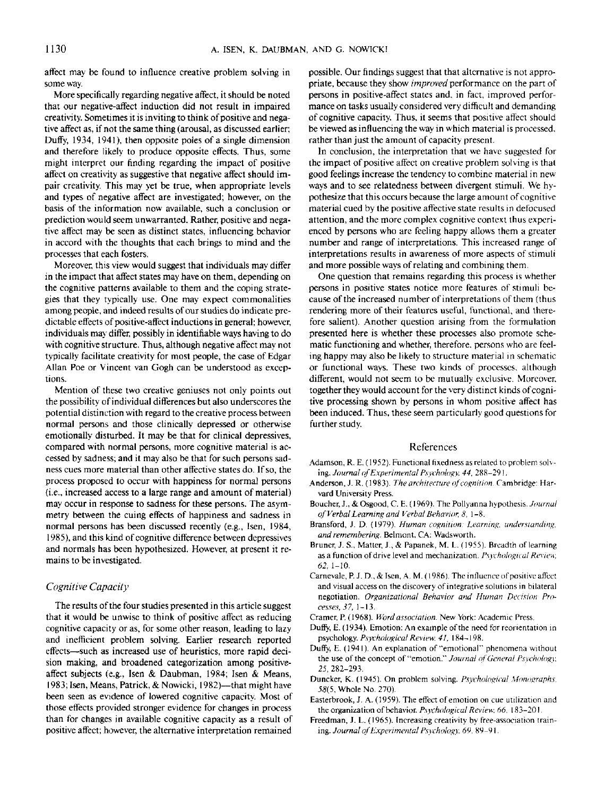affect may be found to influence creative problem solving in some way.

More specifically regarding negative affect, it should be noted that our negative-affect induction did not result in impaired creativity. Sometimes it is inviting to think of positive and negative affect as, if not the same thing (arousal, as discussed earlier; Duffy, 1934, 1941), then opposite poles of a single dimension and therefore likely to produce opposite effects. Thus, some might interpret our finding regarding the impact of positive affect on creativity as suggestive that negative affect should impair creativity. This may yet be true, when appropriate levels and types of negative affect are investigated; however, on the basis of the information now available, such a conclusion or prediction would seem unwarranted. Rather, positive and negative affect may be seen as distinct states, influencing behavior in accord with the thoughts that each brings to mind and the processes that each fosters.

Moreover, this view would suggest that individuals may differ in the impact that affect states may have on them, depending on the cognitive patterns available to them and the coping strategies that they typically use. One may expect commonalities among people, and indeed results of our studies do indicate predictable effects of positive-affect inductions in general; however, individuals may differ, possibly in identifiable ways having to do with cognitive structure. Thus, although negative affect may not typically facilitate creativity for most people, the case of Edgar Allan Poe or Vincent van Gogh can be understood as exceptions.

Mention of these two creative geniuses not only points out the possibility of individual differences but also underscores the potential distinction with regard to the creative process between normal persons and those clinically depressed or otherwise emotionally disturbed. It may be that for clinical depressives, compared with normal persons, more cognitive material is accessed by sadness; and it may also be that for such persons sadness cues more material than other affective states do. If so, the process proposed to occur with happiness for normal persons (i.e., increased access to a large range and amount of material) may occur in response to sadness for these persons. The asymmetry between the cuing effects of happiness and sadness in normal persons has been discussed recently (e.g., Isen, 1984, 1985), and this kind of cognitive difference between depressives and normals has been hypothesized. However, at present it remains to be investigated.

### *Cognitive Capacity*

The results of the four studies presented in this article suggest that it would be unwise to think of positive affect as reducing cognitive capacity or as, for some other reason, leading to lazy and inefficient problem solving. Earlier research reported effects—such as increased use of heuristics, more rapid decision making, and broadened categorization among positiveaffect subjects (e.g., Isen & Daubman, 1984; Isen & Means, 1983; Isen, Means, Patrick, & Nowicki, 1982)—that might have been seen as evidence of lowered cognitive capacity. Most of those effects provided stronger evidence for changes in process than for changes in available cognitive capacity as a result of positive affect; however, the alternative interpretation remained

possible. Our findings suggest that that alternative is not appropriate, because they show *improved* performance on the part of persons in positive-affect states and, in fact, improved performance on tasks usually considered very difficult and demanding of cognitive capacity. Thus, it seems that positive affect should be viewed as influencing the way in which material is processed, rather than just the amount of capacity present.

In conclusion, the interpretation that we have suggested for the impact of positive affect on creative problem solving is thai good feelings increase the tendency to combine material in new ways and to see relatedness between divergent stimuli. We hypothesize that this occurs because the large amount of cognitive material cued by the positive affective state results in defocused attention, and the more complex cognitive context thus experienced by persons who are feeling happy allows them a greater number and range of interpretations. This increased range of interpretations results in awareness of more aspects of stimuli and more possible ways of relating and combining them.

One question that remains regarding this process is whether persons in positive states notice more features of stimuli because of the increased number of interpretations of them (thus rendering more of their features useful, functional, and therefore salient). Another question arising from the formulation presented here is whether these processes also promote schematic functioning and whether, therefore, persons who are feeling happy may also be likely to structure material in schematic or functional ways. These two kinds of processes, although different, would not seem to be mutually exclusive. Moreover, together they would account for the very distinct kinds of cognitive processing shown by persons in whom positive affect has been induced. Thus, these seem particularly good questions for further study.

### References

- Adamson, R. E. (1952). Functional fixedness as related to problem solving. *Journal of Experimental Psychology, 44,* 288-291.
- Anderson, J. R. (1983). *The architecture of cognition* Cambridge: Harvard University Press.
- Boucher, J., & Osgood, C. E. (1969). The Pollyanna hypothesis. *Journal of Verbal Learning and Verbal Behavior, 8,* 1-8.
- Bransford, J. D. (1979). *Human cognition Learning, understanding. and remembering.* Belmont, CA: Wadsworth.
- Bruner, J. S., Matter, J., *&* Papanek, M. L. (1955). Breadth of learning as a function of drive level and mechanization. *Psychological Review. 62,* 1-10.
- Carnevale, P. J. D., & Isen, A. M. (1986). The influence of positive affect and visual access on the discovery of integrative solutions in bilateral negotiation. *Organizational Behavior and Human Decision Processes, 37,* 1-13.
- Cramer, P. (1968). *Word association.* New York: Academic Press.
- Duffy, E. (1934). Emotion: An example of the need for reorientation in psychology. *Psychological Review, 41,* 184-198.
- Duffy, E. (1941). An explanation of "emotional" phenomena without the use of the concept of "emotion." *Journal of General Psychology* 25,282-293.
- Duncker, K. (1945). On problem solving. *Psychological Monographs. 58(5,* Whole No. 270).
- Easterbrook, J. A. (1959). The effect of emotion on cue utilization and the organization of behavior. *Psychological Review. 66,* 183-20!
- Freedman, J. L. (1965). Increasing creativity by free-association training. *Journal of Experimental Psychology. 69.* 89-91.